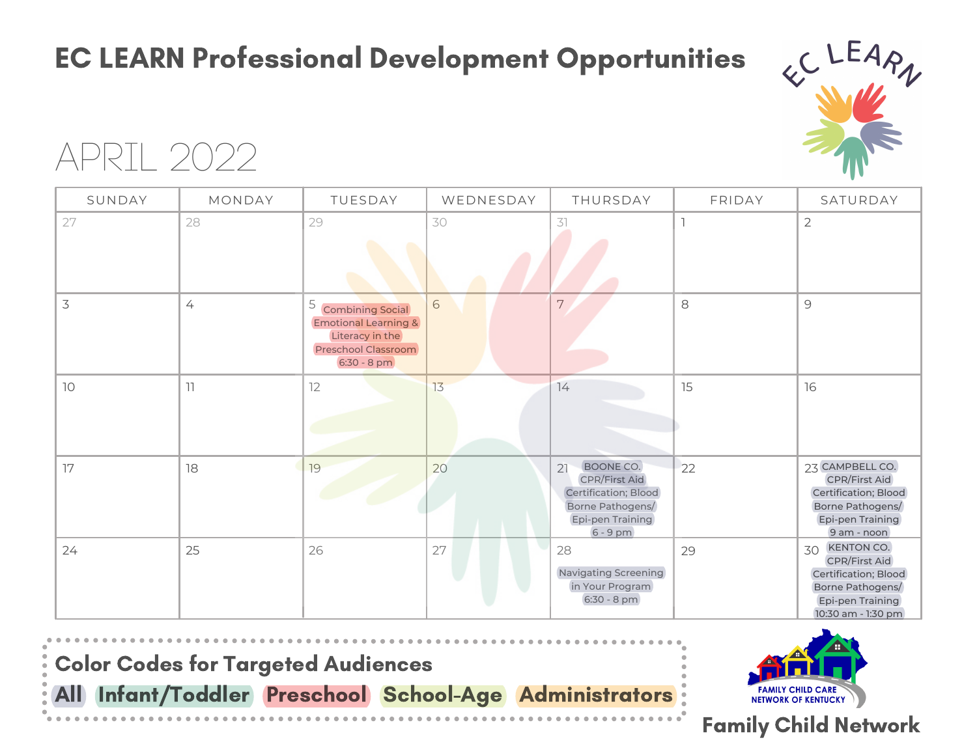### EC LEARN Professional Development Opportunities



## APRIL 2022

| SUNDAY | MONDAY         | TUESDAY                                                                                                                  | WEDNESDAY  | THURSDAY                                                                                                              | FRIDAY | SATURDAY                                                                                                                       |
|--------|----------------|--------------------------------------------------------------------------------------------------------------------------|------------|-----------------------------------------------------------------------------------------------------------------------|--------|--------------------------------------------------------------------------------------------------------------------------------|
| 27     | 28             | 29                                                                                                                       | 30         | 31                                                                                                                    |        | $\mathbf{2}$                                                                                                                   |
| 3      | $\overline{4}$ | 5<br><b>Combining Social</b><br><b>Emotional Learning &amp;</b><br>Literacy in the<br>Preschool Classroom<br>6:30 - 8 pm | $\sqrt{6}$ | $\boldsymbol{7}$                                                                                                      | 8      | $\mathcal{G}$                                                                                                                  |
| 10     | 11             | 12                                                                                                                       | 13         | 74                                                                                                                    | 15     | 16                                                                                                                             |
| 17     | 18             | 19                                                                                                                       | 20         | BOONE CO.<br>21<br><b>CPR/First Aid</b><br>Certification; Blood<br>Borne Pathogens/<br>Epi-pen Training<br>$6 - 9$ pm | 22     | 23 CAMPBELL CO.<br><b>CPR/First Aid</b><br>Certification; Blood<br>Borne Pathogens/<br>Epi-pen Training<br>9 am - noon         |
| 24     | 25             | 26                                                                                                                       | 27         | 28<br><b>Navigating Screening</b><br>in Your Program<br>6:30 - 8 pm                                                   | 29     | KENTON CO.<br>30<br><b>CPR/First Aid</b><br>Certification; Blood<br>Borne Pathogens/<br>Epi-pen Training<br>10:30 am - 1:30 pm |

Color Codes for Targeted Audiences

All Infant/Toddler Preschool School-Age Administrators



#### Family Child Network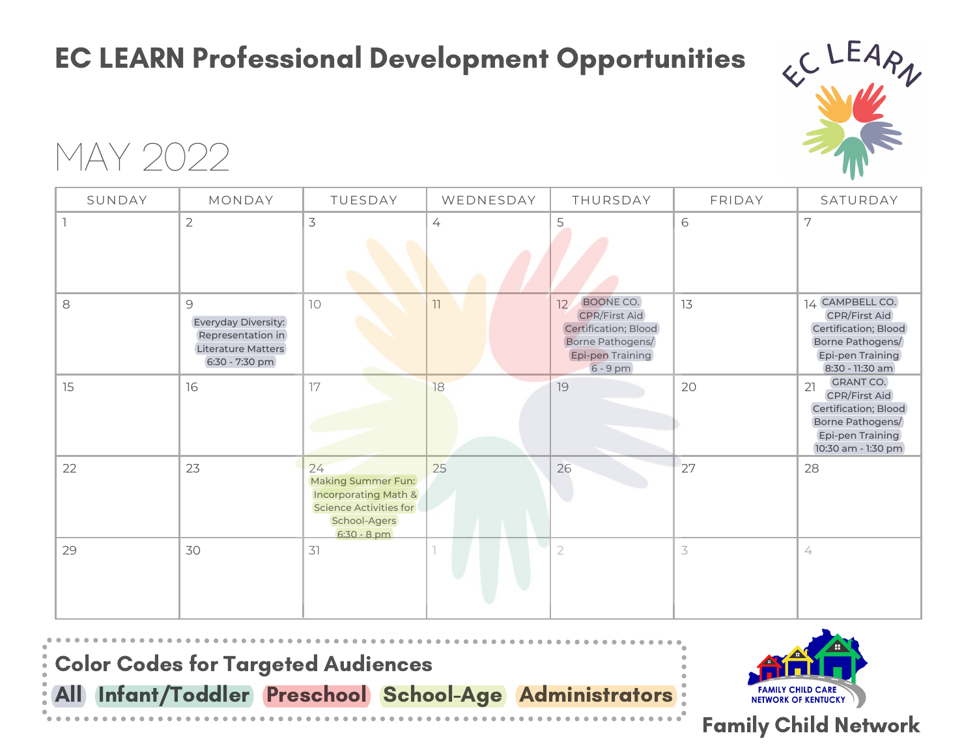### EC LEARN Professional Development Opportunities



MAY 2022

| SUNDAY | MONDAY                                                                                                   | TUESDAY                                                                                                                            | WEDNESDAY      | THURSDAY                                                                                                            | FRIDAY    | SATURDAY                                                                                                                             |
|--------|----------------------------------------------------------------------------------------------------------|------------------------------------------------------------------------------------------------------------------------------------|----------------|---------------------------------------------------------------------------------------------------------------------|-----------|--------------------------------------------------------------------------------------------------------------------------------------|
|        | $\overline{2}$                                                                                           | $\mathfrak{Z}$                                                                                                                     | $\overline{4}$ | 5                                                                                                                   | 6         | 7                                                                                                                                    |
| 8      | $\mathcal{G}$<br>Everyday Diversity:<br>Representation in<br><b>Literature Matters</b><br>6:30 - 7:30 pm | 10                                                                                                                                 | 11             | BOONE CO.<br>12<br><b>CPR/First Aid</b><br>Certification; Blood<br>Borne Pathogens/<br>Epi-pen Training<br>6 - 9 pm | 13        | 14 CAMPBELL CO.<br><b>CPR/First Aid</b><br>Certification; Blood<br>Borne Pathogens/<br>Epi-pen Training<br>8:30 - 11:30 am           |
| 15     | 16                                                                                                       | 17                                                                                                                                 | 18             | 19                                                                                                                  | 20        | <b>GRANT CO.</b><br>21<br><b>CPR/First Aid</b><br>Certification; Blood<br>Borne Pathogens/<br>Epi-pen Training<br>10:30 am - 1:30 pm |
| 22     | 23                                                                                                       | 24<br><b>Making Summer Fun:</b><br><b>Incorporating Math &amp;</b><br><b>Science Activities for</b><br>School-Agers<br>6:30 - 8 pm | 25             | 26                                                                                                                  | 27        | 28                                                                                                                                   |
| 29     | 30                                                                                                       | 31                                                                                                                                 |                | $\overline{2}$                                                                                                      | $\preceq$ | $\angle$                                                                                                                             |





#### Family Child Network